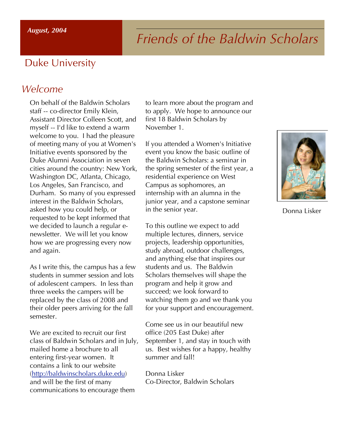# *Friends of the Baldwin Scholars*

# Duke University

### *Welcome*

On behalf of the Baldwin Scholars staff -- co-director Emily Klein, Assistant Director Colleen Scott, and myself -- I'd like to extend a warm welcome to you. I had the pleasure of meeting many of you at Women's Initiative events sponsored by the Duke Alumni Association in seven cities around the country: New York, Washington DC, Atlanta, Chicago, Los Angeles, San Francisco, and Durham. So many of you expressed interest in the Baldwin Scholars, asked how you could help, or requested to be kept informed that we decided to launch a regular enewsletter. We will let you know how we are progressing every now and again.

As I write this, the campus has a few students in summer session and lots of adolescent campers. In less than three weeks the campers will be replaced by the class of 2008 and their older peers arriving for the fall semester.

We are excited to recruit our first class of Baldwin Scholars and in July, mailed home a brochure to all entering first-year women. It contains a link to our website (http://baldwinscholars.duke.edu) and will be the first of many communications to encourage them

to learn more about the program and to apply. We hope to announce our first 18 Baldwin Scholars by November 1.

If you attended a Women's Initiative event you know the basic outline of the Baldwin Scholars: a seminar in the spring semester of the first year, a residential experience on West Campus as sophomores, an internship with an alumna in the junior year, and a capstone seminar in the senior year.

To this outline we expect to add multiple lectures, dinners, service projects, leadership opportunities, study abroad, outdoor challenges, and anything else that inspires our students and us. The Baldwin Scholars themselves will shape the program and help it grow and succeed; we look forward to watching them go and we thank you for your support and encouragement.

Come see us in our beautiful new office (205 East Duke) after September 1, and stay in touch with us. Best wishes for a happy, healthy summer and fall!

Donna Lisker Co-Director, Baldwin Scholars



Donna Lisker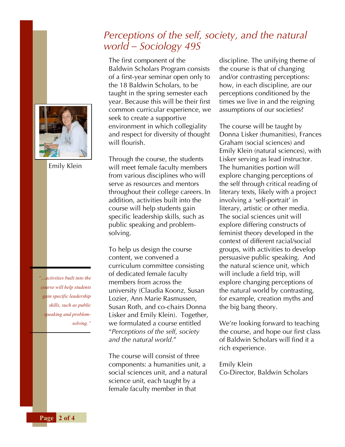## *Perceptions of the self, society, and the natural world – Sociology 49S*

The first component of the Baldwin Scholars Program consists of a first-year seminar open only to the 18 Baldwin Scholars, to be taught in the spring semester each year. Because this will be their first common curricular experience, we seek to create a supportive environment in which collegiality and respect for diversity of thought will flourish.

Through the course, the students will meet female faculty members from various disciplines who will serve as resources and mentors throughout their college careers. In addition, activities built into the course will help students gain specific leadership skills, such as public speaking and problemsolving.

To help us design the course content, we convened a curriculum committee consisting of dedicated female faculty members from across the university (Claudia Koonz, Susan Lozier, Ann Marie Rasmussen, Susan Roth, and co-chairs Donna Lisker and Emily Klein). Together, we formulated a course entitled "*Perceptions of the self, society and the natural world.*"

The course will consist of three components: a humanities unit, a social sciences unit, and a natural science unit, each taught by a female faculty member in that

discipline. The unifying theme of the course is that of changing and/or contrasting perceptions: how, in each discipline, are our perceptions conditioned by the times we live in and the reigning assumptions of our societies?

The course will be taught by Donna Lisker (humanities), Frances Graham (social sciences) and Emily Klein (natural sciences), with Lisker serving as lead instructor. The humanities portion will explore changing perceptions of the self through critical reading of literary texts, likely with a project involving a 'self-portrait' in literary, artistic or other media. The social sciences unit will explore differing constructs of feminist theory developed in the context of different racial/social groups, with activities to develop persuasive public speaking. And the natural science unit, which will include a field trip, will explore changing perceptions of the natural world by contrasting, for example, creation myths and the big bang theory.

We're looking forward to teaching the course, and hope our first class of Baldwin Scholars will find it a rich experience.

Emily Klein Co-Director, Baldwin Scholars







Emily Klein

**Page 2 of 4**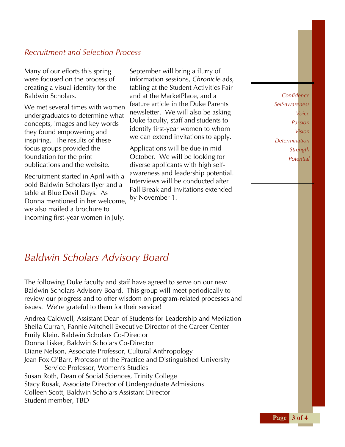#### *Recruitment and Selection Process*

Many of our efforts this spring were focused on the process of creating a visual identity for the Baldwin Scholars.

We met several times with women undergraduates to determine what concepts, images and key words they found empowering and inspiring. The results of these focus groups provided the foundation for the print publications and the website.

Recruitment started in April with a bold Baldwin Scholars flyer and a table at Blue Devil Days. As Donna mentioned in her welcome, we also mailed a brochure to incoming first-year women in July.

September will bring a flurry of information sessions, *Chronicle* ads, tabling at the Student Activities Fair and at the MarketPlace, and a feature article in the Duke Parents newsletter. We will also be asking Duke faculty, staff and students to identify first-year women to whom we can extend invitations to apply.

Applications will be due in mid-October. We will be looking for diverse applicants with high selfawareness and leadership potential. Interviews will be conducted after Fall Break and invitations extended by November 1.

*Confidence Self-awareness Voice Passion Vision Determination Strength Potential*

### *Baldwin Scholars Advisory Board*

The following Duke faculty and staff have agreed to serve on our new Baldwin Scholars Advisory Board. This group will meet periodically to review our progress and to offer wisdom on program-related processes and issues. We're grateful to them for their service!

Andrea Caldwell, Assistant Dean of Students for Leadership and Mediation Sheila Curran, Fannie Mitchell Executive Director of the Career Center Emily Klein, Baldwin Scholars Co-Director Donna Lisker, Baldwin Scholars Co-Director Diane Nelson, Associate Professor, Cultural Anthropology Jean Fox O'Barr, Professor of the Practice and Distinguished University Service Professor, Women's Studies Susan Roth, Dean of Social Sciences, Trinity College Stacy Rusak, Associate Director of Undergraduate Admissions Colleen Scott, Baldwin Scholars Assistant Director Student member, TBD